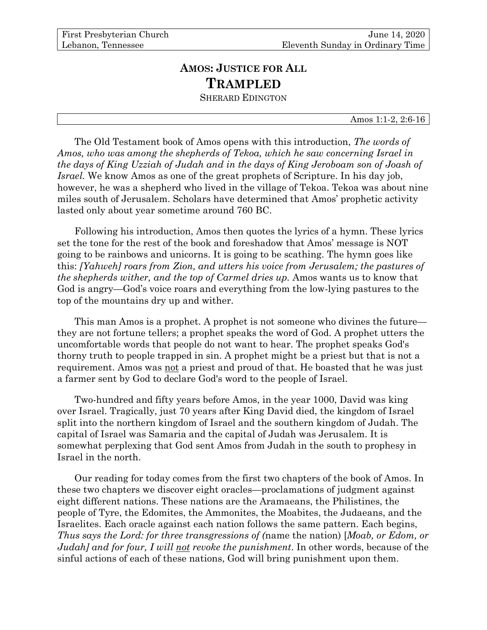## **AMOS: JUSTICE FOR ALL TRAMPLED**

SHERARD EDINGTON

Amos 1:1-2, 2:6-16

The Old Testament book of Amos opens with this introduction, *The words of Amos, who was among the shepherds of Tekoa, which he saw concerning Israel in the days of King Uzziah of Judah and in the days of King Jeroboam son of Joash of Israel.* We know Amos as one of the great prophets of Scripture. In his day job, however, he was a shepherd who lived in the village of Tekoa. Tekoa was about nine miles south of Jerusalem. Scholars have determined that Amos' prophetic activity lasted only about year sometime around 760 BC.

Following his introduction, Amos then quotes the lyrics of a hymn. These lyrics set the tone for the rest of the book and foreshadow that Amos' message is NOT going to be rainbows and unicorns. It is going to be scathing. The hymn goes like this: *[Yahweh] roars from Zion, and utters his voice from Jerusalem; the pastures of the shepherds wither, and the top of Carmel dries up.* Amos wants us to know that God is angry—God's voice roars and everything from the low-lying pastures to the top of the mountains dry up and wither.

This man Amos is a prophet. A prophet is not someone who divines the future they are not fortune tellers; a prophet speaks the word of God. A prophet utters the uncomfortable words that people do not want to hear. The prophet speaks God's thorny truth to people trapped in sin. A prophet might be a priest but that is not a requirement. Amos was not a priest and proud of that. He boasted that he was just a farmer sent by God to declare God's word to the people of Israel.

Two-hundred and fifty years before Amos, in the year 1000, David was king over Israel. Tragically, just 70 years after King David died, the kingdom of Israel split into the northern kingdom of Israel and the southern kingdom of Judah. The capital of Israel was Samaria and the capital of Judah was Jerusalem. It is somewhat perplexing that God sent Amos from Judah in the south to prophesy in Israel in the north.

Our reading for today comes from the first two chapters of the book of Amos. In these two chapters we discover eight oracles—proclamations of judgment against eight different nations. These nations are the Aramaeans, the Philistines, the people of Tyre, the Edomites, the Ammonites, the Moabites, the Judaeans, and the Israelites. Each oracle against each nation follows the same pattern. Each begins, *Thus says the Lord: for three transgressions of (*name the nation) [*Moab, or Edom, or Judah] and for four, I will not revoke the punishment*. In other words, because of the sinful actions of each of these nations, God will bring punishment upon them.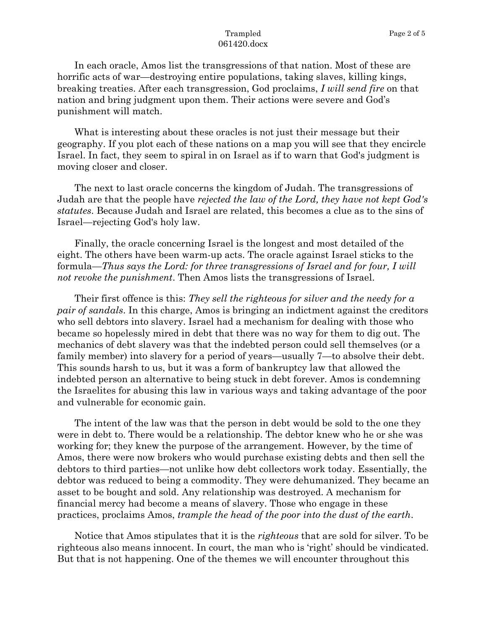## Trampled 061420.docx

In each oracle, Amos list the transgressions of that nation. Most of these are horrific acts of war—destroying entire populations, taking slaves, killing kings, breaking treaties. After each transgression, God proclaims, *I will send fire* on that nation and bring judgment upon them. Their actions were severe and God's punishment will match.

What is interesting about these oracles is not just their message but their geography. If you plot each of these nations on a map you will see that they encircle Israel. In fact, they seem to spiral in on Israel as if to warn that God's judgment is moving closer and closer.

The next to last oracle concerns the kingdom of Judah. The transgressions of Judah are that the people have *rejected the law of the Lord, they have not kept God's statutes*. Because Judah and Israel are related, this becomes a clue as to the sins of Israel—rejecting God's holy law.

Finally, the oracle concerning Israel is the longest and most detailed of the eight. The others have been warm-up acts. The oracle against Israel sticks to the formula—*Thus says the Lord: for three transgressions of Israel and for four, I will not revoke the punishment*. Then Amos lists the transgressions of Israel.

Their first offence is this: *They sell the righteous for silver and the needy for a pair of sandals*. In this charge, Amos is bringing an indictment against the creditors who sell debtors into slavery. Israel had a mechanism for dealing with those who became so hopelessly mired in debt that there was no way for them to dig out. The mechanics of debt slavery was that the indebted person could sell themselves (or a family member) into slavery for a period of years—usually 7—to absolve their debt. This sounds harsh to us, but it was a form of bankruptcy law that allowed the indebted person an alternative to being stuck in debt forever. Amos is condemning the Israelites for abusing this law in various ways and taking advantage of the poor and vulnerable for economic gain.

The intent of the law was that the person in debt would be sold to the one they were in debt to. There would be a relationship. The debtor knew who he or she was working for; they knew the purpose of the arrangement. However, by the time of Amos, there were now brokers who would purchase existing debts and then sell the debtors to third parties—not unlike how debt collectors work today. Essentially, the debtor was reduced to being a commodity. They were dehumanized. They became an asset to be bought and sold. Any relationship was destroyed. A mechanism for financial mercy had become a means of slavery. Those who engage in these practices, proclaims Amos, *trample the head of the poor into the dust of the earth*.

Notice that Amos stipulates that it is the *righteous* that are sold for silver. To be righteous also means innocent. In court, the man who is 'right' should be vindicated. But that is not happening. One of the themes we will encounter throughout this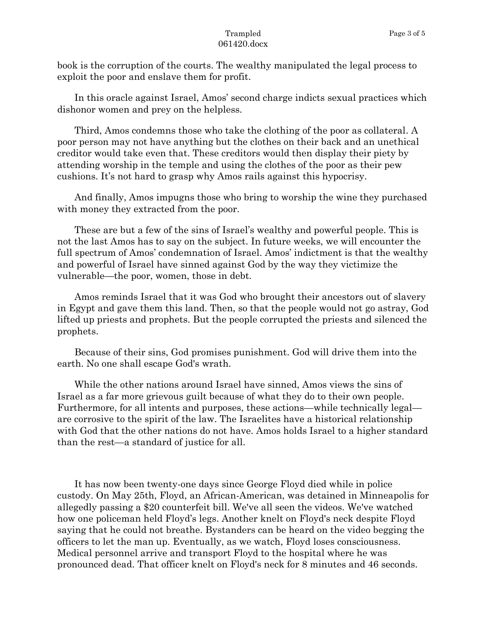book is the corruption of the courts. The wealthy manipulated the legal process to exploit the poor and enslave them for profit.

In this oracle against Israel, Amos' second charge indicts sexual practices which dishonor women and prey on the helpless.

Third, Amos condemns those who take the clothing of the poor as collateral. A poor person may not have anything but the clothes on their back and an unethical creditor would take even that. These creditors would then display their piety by attending worship in the temple and using the clothes of the poor as their pew cushions. It's not hard to grasp why Amos rails against this hypocrisy.

And finally, Amos impugns those who bring to worship the wine they purchased with money they extracted from the poor.

These are but a few of the sins of Israel's wealthy and powerful people. This is not the last Amos has to say on the subject. In future weeks, we will encounter the full spectrum of Amos' condemnation of Israel. Amos' indictment is that the wealthy and powerful of Israel have sinned against God by the way they victimize the vulnerable—the poor, women, those in debt.

Amos reminds Israel that it was God who brought their ancestors out of slavery in Egypt and gave them this land. Then, so that the people would not go astray, God lifted up priests and prophets. But the people corrupted the priests and silenced the prophets.

Because of their sins, God promises punishment. God will drive them into the earth. No one shall escape God's wrath.

While the other nations around Israel have sinned, Amos views the sins of Israel as a far more grievous guilt because of what they do to their own people. Furthermore, for all intents and purposes, these actions—while technically legal are corrosive to the spirit of the law. The Israelites have a historical relationship with God that the other nations do not have. Amos holds Israel to a higher standard than the rest—a standard of justice for all.

It has now been twenty-one days since George Floyd died while in police custody. On May 25th, Floyd, an African-American, was detained in Minneapolis for allegedly passing a \$20 counterfeit bill. We've all seen the videos. We've watched how one policeman held Floyd's legs. Another knelt on Floyd's neck despite Floyd saying that he could not breathe. Bystanders can be heard on the video begging the officers to let the man up. Eventually, as we watch, Floyd loses consciousness. Medical personnel arrive and transport Floyd to the hospital where he was pronounced dead. That officer knelt on Floyd's neck for 8 minutes and 46 seconds.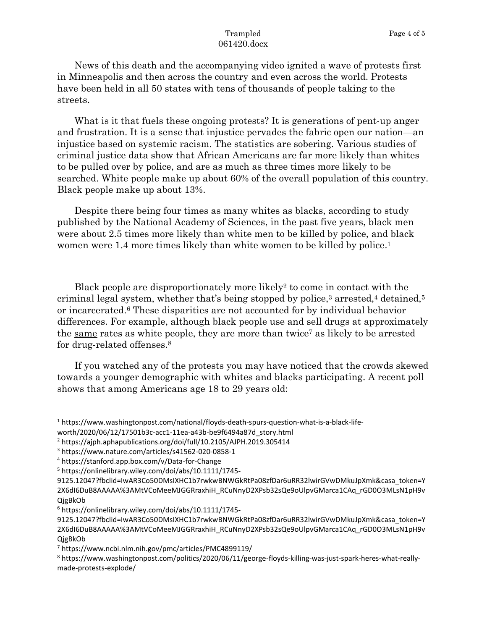## Trampled 061420.docx

News of this death and the accompanying video ignited a wave of protests first in Minneapolis and then across the country and even across the world. Protests have been held in all 50 states with tens of thousands of people taking to the streets.

What is it that fuels these ongoing protests? It is generations of pent-up anger and frustration. It is a sense that injustice pervades the fabric open our nation—an injustice based on systemic racism. The statistics are sobering. Various studies of criminal justice data show that African Americans are far more likely than whites to be pulled over by police, and are as much as three times more likely to be searched. White people make up about 60% of the overall population of this country. Black people make up about 13%.

Despite there being four times as many whites as blacks, according to study published by the National Academy of Sciences, in the past five years, black men were about 2.5 times more likely than white men to be killed by police, and black women were 1.4 more times likely than white women to be killed by police. 1

Black people are disproportionately more likely<sup>2</sup> to come in contact with the criminal legal system, whether that's being stopped by police, <sup>3</sup> arrested, <sup>4</sup> detained,<sup>5</sup> or incarcerated. <sup>6</sup> These disparities are not accounted for by individual behavior differences. For example, although black people use and sell drugs at approximately the same rates as white people, they are more than twice<sup>7</sup> as likely to be arrested for drug-related offenses.<sup>8</sup>

If you watched any of the protests you may have noticed that the crowds skewed towards a younger demographic with whites and blacks participating. A recent poll shows that among Americans age 18 to 29 years old:

<sup>1</sup> https://www.washingtonpost.com/national/floyds-death-spurs-question-what-is-a-black-life-

worth/2020/06/12/17501b3c-acc1-11ea-a43b-be9f6494a87d\_story.html

<sup>2</sup> https://ajph.aphapublications.org/doi/full/10.2105/AJPH.2019.305414

<sup>3</sup> https://www.nature.com/articles/s41562-020-0858-1

<sup>4</sup> https://stanford.app.box.com/v/Data-for-Change

<sup>5</sup> https://onlinelibrary.wiley.com/doi/abs/10.1111/1745-

<sup>9125.12047?</sup>fbclid=IwAR3Co50DMsIXHC1b7rwkwBNWGkRtPa08zfDar6uRR32lwirGVwDMkuJpXmk&casa\_token=Y 2X6dI6DuB8AAAAA%3AMtVCoMeeMJGGRraxhiH\_RCuNnyD2XPsb32sQe9oUlpvGMarca1CAq\_rGD0O3MLsN1pH9v **QigBkOb** 

<sup>6</sup> https://onlinelibrary.wiley.com/doi/abs/10.1111/1745-

<sup>9125.12047?</sup>fbclid=IwAR3Co50DMsIXHC1b7rwkwBNWGkRtPa08zfDar6uRR32lwirGVwDMkuJpXmk&casa\_token=Y 2X6dI6DuB8AAAAA%3AMtVCoMeeMJGGRraxhiH\_RCuNnyD2XPsb32sQe9oUlpvGMarca1CAq\_rGD0O3MLsN1pH9v QjgBkOb

<sup>7</sup> https://www.ncbi.nlm.nih.gov/pmc/articles/PMC4899119/

<sup>8</sup> https://www.washingtonpost.com/politics/2020/06/11/george-floyds-killing-was-just-spark-heres-what-reallymade-protests-explode/